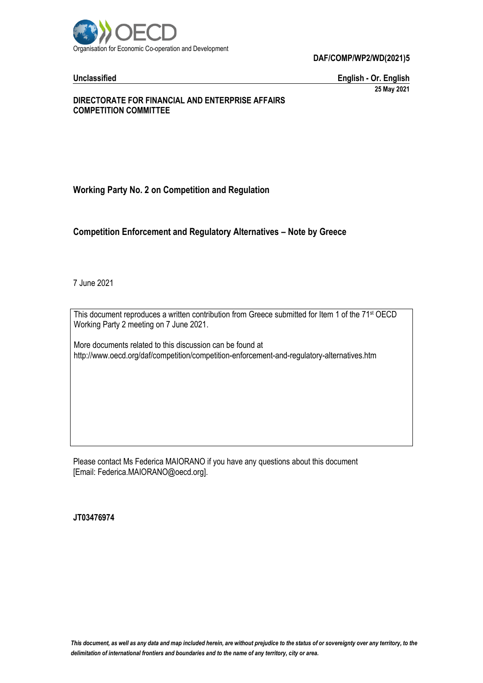

**Unclassified English - Or. English 25 May 2021**

### **DIRECTORATE FOR FINANCIAL AND ENTERPRISE AFFAIRS COMPETITION COMMITTEE**

# **Working Party No. 2 on Competition and Regulation**

# **Competition Enforcement and Regulatory Alternatives – Note by Greece**

7 June 2021

This document reproduces a written contribution from Greece submitted for Item 1 of the 71 st OECD Working Party 2 meeting on 7 June 2021.

More documents related to this discussion can be found at http://www.oecd.org/daf/competition/competition-enforcement-and-regulatory-alternatives.htm

Please contact Ms Federica MAIORANO if you have any questions about this document [Email: Federica.MAIORANO@oecd.org].

**JT03476974**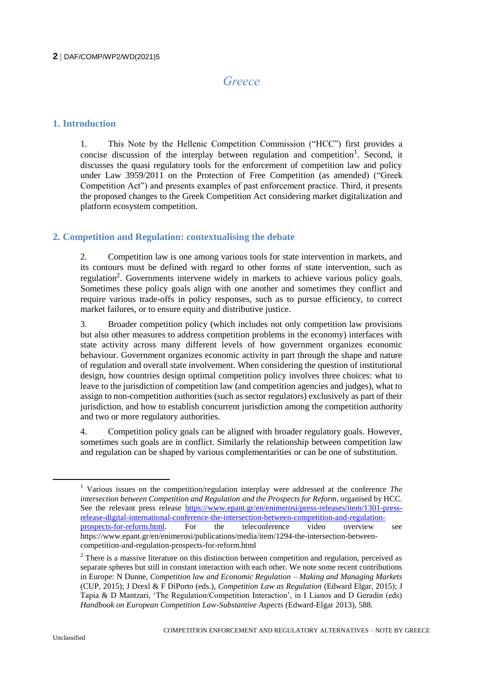# *Greece*

# **1. Introduction**

1. This Note by the Hellenic Competition Commission ("HCC") first provides a concise discussion of the interplay between regulation and competition<sup>1</sup>. Second, it discusses the quasi regulatory tools for the enforcement of competition law and policy under Law 3959/2011 on the Protection of Free Competition (as amended) ("Greek Competition Act") and presents examples of past enforcement practice. Third, it presents the proposed changes to the Greek Competition Act considering market digitalization and platform ecosystem competition.

# **2. Competition and Regulation: contextualising the debate**

2. Competition law is one among various tools for state intervention in markets, and its contours must be defined with regard to other forms of state intervention, such as regulation<sup>2</sup>. Governments intervene widely in markets to achieve various policy goals. Sometimes these policy goals align with one another and sometimes they conflict and require various trade-offs in policy responses, such as to pursue efficiency, to correct market failures, or to ensure equity and distributive justice.

3. Broader competition policy (which includes not only competition law provisions but also other measures to address competition problems in the economy) interfaces with state activity across many different levels of how government organizes economic behaviour. Government organizes economic activity in part through the shape and nature of regulation and overall state involvement. When considering the question of institutional design, how countries design optimal competition policy involves three choices: what to leave to the jurisdiction of competition law (and competition agencies and judges), what to assign to non-competition authorities (such as sector regulators) exclusively as part of their jurisdiction, and how to establish concurrent jurisdiction among the competition authority and two or more regulatory authorities.

4. Competition policy goals can be aligned with broader regulatory goals. However, sometimes such goals are in conflict. Similarly the relationship between competition law and regulation can be shaped by various complementarities or can be one of substitution.

<sup>1</sup> Various issues on the competition/regulation interplay were addressed at the conference *The intersection between Competition and Regulation and the Prospects for Reform*, organised by HCC. See the relevant press release [https://www.epant.gr/en/enimerosi/press-releases/item/1301-press](https://www.epant.gr/en/enimerosi/press-releases/item/1301-press-release-digital-international-conference-the-intersection-between-competition-and-regulation-prospects-for-reform.html)[release-digital-international-conference-the-intersection-between-competition-and-regulation](https://www.epant.gr/en/enimerosi/press-releases/item/1301-press-release-digital-international-conference-the-intersection-between-competition-and-regulation-prospects-for-reform.html)[prospects-for-reform.html.](https://www.epant.gr/en/enimerosi/press-releases/item/1301-press-release-digital-international-conference-the-intersection-between-competition-and-regulation-prospects-for-reform.html) For the teleconference video overview see https://www.epant.gr/en/enimerosi/publications/media/item/1294-the-intersection-betweencompetition-and-regulation-prospects-for-reform.html

<sup>&</sup>lt;sup>2</sup> There is a massive literature on this distinction between competition and regulation, perceived as separate spheres but still in constant interaction with each other. We note some recent contributions in Europe: N Dunne, *Competition law and Economic Regulation – Making and Managing Markets* (CUP, 2015); J Drexl & F DiPorto (eds.), *Competition Law as Regulation* (Edward Elgar, 2015); J Tapia & D Mantzari, 'The Regulation/Competition Interaction', in I Lianos and D Geradin (eds) *Handbook on European Competition Law-Substantive Aspects* (Edward-Elgar 2013), 588.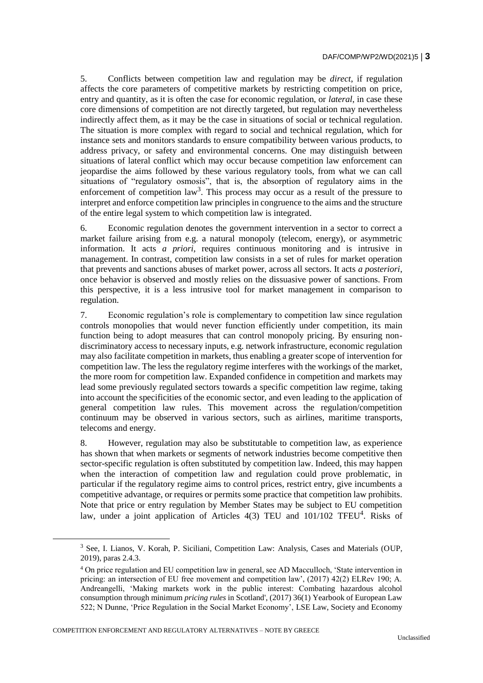5. Conflicts between competition law and regulation may be *direct*, if regulation affects the core parameters of competitive markets by restricting competition on price, entry and quantity, as it is often the case for economic regulation, or *lateral*, in case these core dimensions of competition are not directly targeted, but regulation may nevertheless indirectly affect them, as it may be the case in situations of social or technical regulation. The situation is more complex with regard to social and technical regulation, which for instance sets and monitors standards to ensure compatibility between various products, to address privacy, or safety and environmental concerns. One may distinguish between situations of lateral conflict which may occur because competition law enforcement can jeopardise the aims followed by these various regulatory tools, from what we can call situations of "regulatory osmosis", that is, the absorption of regulatory aims in the enforcement of competition  $law<sup>3</sup>$ . This process may occur as a result of the pressure to interpret and enforce competition law principles in congruence to the aims and the structure of the entire legal system to which competition law is integrated.

6. Economic regulation denotes the government intervention in a sector to correct a market failure arising from e.g. a natural monopoly (telecom, energy), or asymmetric information. It acts *a priori*, requires continuous monitoring and is intrusive in management. In contrast, competition law consists in a set of rules for market operation that prevents and sanctions abuses of market power, across all sectors. It acts *a posteriori*, once behavior is observed and mostly relies on the dissuasive power of sanctions. From this perspective, it is a less intrusive tool for market management in comparison to regulation.

7. Economic regulation's role is complementary to competition law since regulation controls monopolies that would never function efficiently under competition, its main function being to adopt measures that can control monopoly pricing. By ensuring nondiscriminatory access to necessary inputs, e.g. network infrastructure, economic regulation may also facilitate competition in markets, thus enabling a greater scope of intervention for competition law. The less the regulatory regime interferes with the workings of the market, the more room for competition law. Expanded confidence in competition and markets may lead some previously regulated sectors towards a specific competition law regime, taking into account the specificities of the economic sector, and even leading to the application of general competition law rules. This movement across the regulation/competition continuum may be observed in various sectors, such as airlines, maritime transports, telecoms and energy.

8. However, regulation may also be substitutable to competition law, as experience has shown that when markets or segments of network industries become competitive then sector-specific regulation is often substituted by competition law. Indeed, this may happen when the interaction of competition law and regulation could prove problematic, in particular if the regulatory regime aims to control prices, restrict entry, give incumbents a competitive advantage, or requires or permits some practice that competition law prohibits. Note that price or entry regulation by Member States may be subject to EU competition law, under a joint application of Articles 4(3) TEU and 101/102 TFEU<sup>4</sup>. Risks of

COMPETITION ENFORCEMENT AND REGULATORY ALTERNATIVES – NOTE BY GREECE

<sup>3</sup> See, I. Lianos, V. Korah, P. Siciliani, Competition Law: Analysis, Cases and Materials (OUP, 2019), paras 2.4.3.

<sup>4</sup> On price regulation and EU competition law in general, see AD Macculloch, 'State intervention in pricing: an intersection of EU free movement and competition law', (2017) 42(2) ELRev 190; A. Andreangelli, 'Making markets work in the public interest: Combating hazardous alcohol consumption through minimum *pricing rules* in Scotland', (2017) 36(1) Yearbook of European Law 522; N Dunne, 'Price Regulation in the Social Market Economy', LSE Law, Society and Economy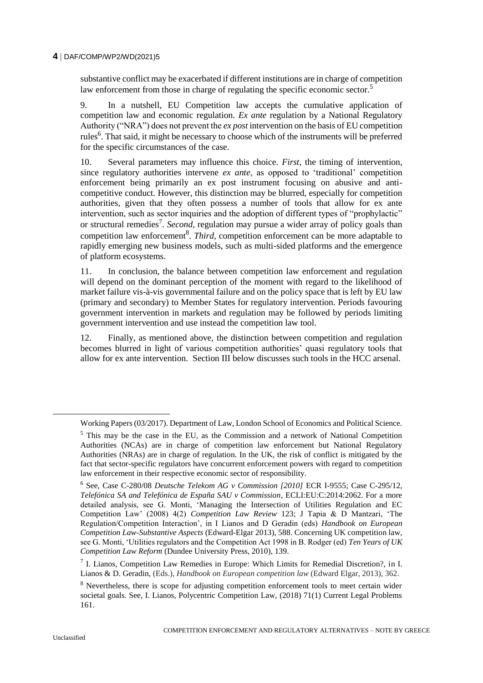substantive conflict may be exacerbated if different institutions are in charge of competition law enforcement from those in charge of regulating the specific economic sector.<sup>5</sup>

9. In a nutshell, EU Competition law accepts the cumulative application of competition law and economic regulation. *Ex ante* regulation by a National Regulatory Authority ("NRA") does not prevent the *ex post* intervention on the basis of EU competition rules<sup>6</sup>. That said, it might be necessary to choose which of the instruments will be preferred for the specific circumstances of the case.

10. Several parameters may influence this choice. *First*, the timing of intervention, since regulatory authorities intervene *ex ante*, as opposed to 'traditional' competition enforcement being primarily an ex post instrument focusing on abusive and anticompetitive conduct. However, this distinction may be blurred, especially for competition authorities, given that they often possess a number of tools that allow for ex ante intervention, such as sector inquiries and the adoption of different types of "prophylactic" or structural remedies<sup>7</sup>. *Second*, regulation may pursue a wider array of policy goals than competition law enforcement<sup>8</sup>. *Third*, competition enforcement can be more adaptable to rapidly emerging new business models, such as multi-sided platforms and the emergence of platform ecosystems.

11. In conclusion, the balance between competition law enforcement and regulation will depend on the dominant perception of the moment with regard to the likelihood of market failure vis-à-vis governmental failure and on the policy space that is left by EU law (primary and secondary) to Member States for regulatory intervention. Periods favouring government intervention in markets and regulation may be followed by periods limiting government intervention and use instead the competition law tool.

12. Finally, as mentioned above, the distinction between competition and regulation becomes blurred in light of various competition authorities' quasi regulatory tools that allow for ex ante intervention. Section III below discusses such tools in the HCC arsenal.

Working Papers (03/2017). Department of Law, London School of Economics and Political Science.

<sup>&</sup>lt;sup>5</sup> This may be the case in the EU, as the Commission and a network of National Competition Authorities (NCAs) are in charge of competition law enforcement but National Regulatory Authorities (NRAs) are in charge of regulation. In the UK, the risk of conflict is mitigated by the fact that sector-specific regulators have concurrent enforcement powers with regard to competition law enforcement in their respective economic sector of responsibility.

<sup>6</sup> See, Case C-280/08 *Deutsche Telekom AG v Commission [2010]* ECR I-9555; Case C-295/12, *Telefónica SA and Telefónica de España SAU v Commission*, ECLI:EU:C:2014:2062. For a more detailed analysis, see G. Monti, 'Managing the Intersection of Utilities Regulation and EC Competition Law' (2008) 4(2) *Competition Law Review* 123; J Tapia & D Mantzari, 'The Regulation/Competition Interaction', in I Lianos and D Geradin (eds) *Handbook on European Competition Law-Substantive Aspects* (Edward-Elgar 2013), 588. Concerning UK competition law, see G. Monti, 'Utilities regulators and the Competition Act 1998 in B. Rodger (ed) *Ten Years of UK Competition Law Reform* (Dundee University Press, 2010), 139.

<sup>&</sup>lt;sup>7</sup> I. Lianos, Competition Law Remedies in Europe: Which Limits for Remedial Discretion?, in I. Lianos & D. Geradin, (Eds.), *Handbook on European competition law* (Edward Elgar, 2013), 362.

<sup>&</sup>lt;sup>8</sup> Nevertheless, there is scope for adjusting competition enforcement tools to meet certain wider societal goals. See, I. Lianos, Polycentric Competition Law, (2018) 71(1) Current Legal Problems 161.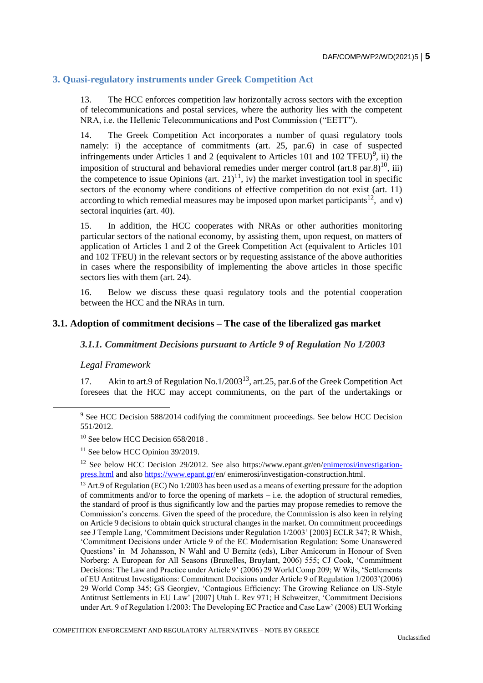## **3. Quasi-regulatory instruments under Greek Competition Act**

13. The HCC enforces competition law horizontally across sectors with the exception of telecommunications and postal services, where the authority lies with the competent NRA, i.e. the Hellenic Telecommunications and Post Commission ("EETT").

14. The Greek Competition Act incorporates a number of quasi regulatory tools namely: i) the acceptance of commitments (art. 25, par.6) in case of suspected infringements under Articles 1 and 2 (equivalent to Articles 101 and 102 TFEU)<sup>9</sup>, ii) the imposition of structural and behavioral remedies under merger control (art.8 par.8)<sup>10</sup>, iii) the competence to issue Opinions (art.  $21$ )<sup>11</sup>, iv) the market investigation tool in specific sectors of the economy where conditions of effective competition do not exist (art. 11) according to which remedial measures may be imposed upon market participants<sup>12</sup>, and v) sectoral inquiries (art. 40).

15. In addition, the HCC cooperates with NRAs or other authorities monitoring particular sectors of the national economy, by assisting them, upon request, on matters of application of Articles 1 and 2 of the Greek Competition Act (equivalent to Articles 101 and 102 TFEU) in the relevant sectors or by requesting assistance of the above authorities in cases where the responsibility of implementing the above articles in those specific sectors lies with them (art. 24).

16. Below we discuss these quasi regulatory tools and the potential cooperation between the HCC and the NRAs in turn.

#### **3.1. Adoption of commitment decisions – The case of the liberalized gas market**

#### *3.1.1. Commitment Decisions pursuant to Article 9 of Regulation No 1/2003*

#### *Legal Framework*

17. Akin to art.9 of Regulation No.1/2003<sup>13</sup>, art.25, par.6 of the Greek Competition Act foresees that the HCC may accept commitments, on the part of the undertakings or

<sup>9</sup> See HCC Decision 588/2014 codifying the commitment proceedings. See below HCC Decision 551/2012.

 $10$  See below HCC Decision 658/2018.

 $11$  See below HCC Opinion 39/2019.

<sup>&</sup>lt;sup>12</sup> See below HCC Decision 29/2012. See also https://www.epant.gr/en[/enimerosi/investigation](https://www.epant.gr/en/enimerosi/investigation-press.html)[press.html](https://www.epant.gr/en/enimerosi/investigation-press.html) and also [https://www.epant.gr/e](https://www.epant.gr/)n/ enimerosi/investigation-construction.html.

<sup>&</sup>lt;sup>13</sup> Art.9 of Regulation (EC) No 1/2003 has been used as a means of exerting pressure for the adoption of commitments and/or to force the opening of markets – i.e. the adoption of structural remedies, the standard of proof is thus significantly low and the parties may propose remedies to remove the Commission's concerns. Given the speed of the procedure, the Commission is also keen in relying on Article 9 decisions to obtain quick structural changes in the market. On commitment proceedings see J Temple Lang, 'Commitment Decisions under Regulation 1/2003' [2003] ECLR 347; R Whish, 'Commitment Decisions under Article 9 of the EC Modernisation Regulation: Some Unanswered Questions' in M Johansson, N Wahl and U Bernitz (eds), Liber Amicorum in Honour of Sven Norberg: A European for All Seasons (Bruxelles, Bruylant, 2006) 555; CJ Cook, 'Commitment Decisions: The Law and Practice under Article 9' (2006) 29 World Comp 209; W Wils, 'Settlements of EU Antitrust Investigations: Commitment Decisions under Article 9 of Regulation 1/2003'(2006) 29 World Comp 345; GS Georgiev, 'Contagious Efficiency: The Growing Reliance on US-Style Antitrust Settlements in EU Law' [2007] Utah L Rev 971; H Schweitzer, 'Commitment Decisions under Art. 9 of Regulation 1/2003: The Developing EC Practice and Case Law' (2008) EUI Working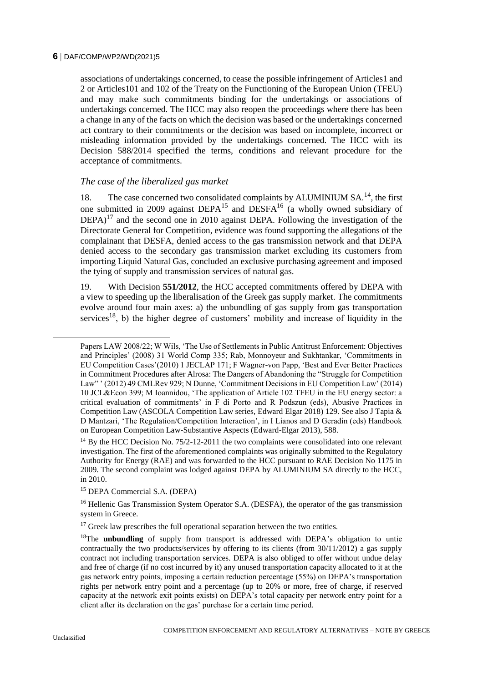associations of undertakings concerned, to cease the possible infringement of Articles1 and 2 or Articles101 and 102 of the Treaty on the Functioning of the European Union (TFEU) and may make such commitments binding for the undertakings or associations of undertakings concerned. The HCC may also reopen the proceedings where there has been a change in any of the facts on which the decision was based or the undertakings concerned act contrary to their commitments or the decision was based on incomplete, incorrect or misleading information provided by the undertakings concerned. The HCC with its Decision 588/2014 specified the terms, conditions and relevant procedure for the acceptance of commitments.

### *The case of the liberalized gas market*

18. The case concerned two consolidated complaints by ALUMINIUM SA.<sup>14</sup>, the first one submitted in 2009 against DEPA<sup>15</sup> and DESFA<sup>16</sup> (a wholly owned subsidiary of  $DEPA$ <sup>17</sup> and the second one in 2010 against DEPA. Following the investigation of the Directorate General for Competition, evidence was found supporting the allegations of the complainant that DESFA, denied access to the gas transmission network and that DEPA denied access to the secondary gas transmission market excluding its customers from importing Liquid Natural Gas, concluded an exclusive purchasing agreement and imposed the tying of supply and transmission services of natural gas.

19. With Decision **551/2012**, the HCC accepted commitments offered by DEPA with a view to speeding up the liberalisation of the Greek gas supply market. The commitments evolve around four main axes: a) the unbundling of gas supply from gas transportation services<sup>18</sup>, b) the higher degree of customers' mobility and increase of liquidity in the

Papers LAW 2008/22; W Wils, 'The Use of Settlements in Public Antitrust Enforcement: Objectives and Principles' (2008) 31 World Comp 335; Rab, Monnoyeur and Sukhtankar, 'Commitments in EU Competition Cases'(2010) 1 JECLAP 171; F Wagner-von Papp, 'Best and Ever Better Practices in Commitment Procedures after Alrosa: The Dangers of Abandoning the "Struggle for Competition Law" ' (2012) 49 CMLRev 929; N Dunne, 'Commitment Decisions in EU Competition Law' (2014) 10 JCL&Econ 399; M Ioannidou, 'The application of Article 102 TFEU in the EU energy sector: a critical evaluation of commitments' in F di Porto and R Podszun (eds), Abusive Practices in Competition Law (ASCOLA Competition Law series, Edward Elgar 2018) 129. See also J Tapia & D Mantzari, 'The Regulation/Competition Interaction', in I Lianos and D Geradin (eds) Handbook on European Competition Law-Substantive Aspects (Edward-Elgar 2013), 588.

<sup>&</sup>lt;sup>14</sup> By the HCC Decision No.  $75/2$ -12-2011 the two complaints were consolidated into one relevant investigation. The first of the aforementioned complaints was originally submitted to the Regulatory Authority for Energy (RAE) and was forwarded to the HCC pursuant to RAE Decision No 1175 in 2009. The second complaint was lodged against DEPA by ALUMINIUM SA directly to the HCC, in 2010.

<sup>15</sup> DEPA Commercial S.A. (DEPA)

<sup>&</sup>lt;sup>16</sup> Hellenic Gas Transmission System Operator S.A. (DESFA), the operator of the gas transmission system in Greece.

 $17$  Greek law prescribes the full operational separation between the two entities.

<sup>&</sup>lt;sup>18</sup>The **unbundling** of supply from transport is addressed with DEPA's obligation to untie contractually the two products/services by offering to its clients (from 30/11/2012) a gas supply contract not including transportation services. DEPA is also obliged to offer without undue delay and free of charge (if no cost incurred by it) any unused transportation capacity allocated to it at the gas network entry points, imposing a certain reduction percentage (55%) on DEPA's transportation rights per network entry point and a percentage (up to 20% or more, free of charge, if reserved capacity at the network exit points exists) on DEPA's total capacity per network entry point for a client after its declaration on the gas' purchase for a certain time period.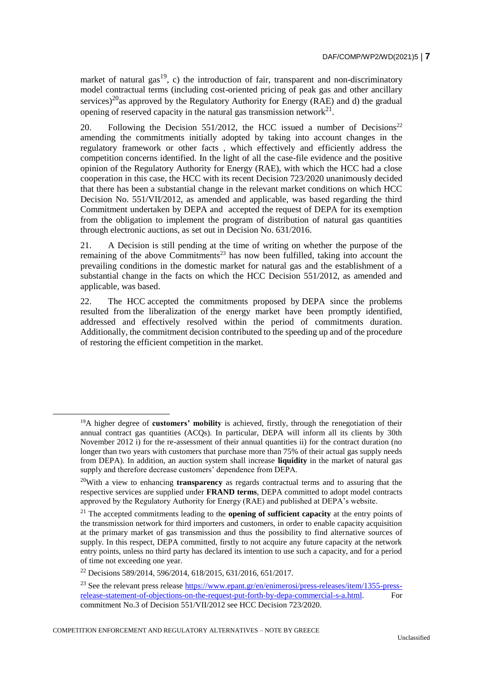market of natural gas<sup>19</sup>, c) the introduction of fair, transparent and non-discriminatory model contractual terms (including cost-oriented pricing of peak gas and other ancillary services)<sup>20</sup>as approved by the Regulatory Authority for Energy (RAE) and d) the gradual opening of reserved capacity in the natural gas transmission network $^{21}$ .

20. Following the Decision 551/2012, the HCC issued a number of Decisions<sup>22</sup> amending the commitments initially adopted by taking into account changes in the regulatory framework or other facts , which effectively and efficiently address the competition concerns identified. In the light of all the case-file evidence and the positive opinion of the Regulatory Authority for Energy (RAE), with which the HCC had a close cooperation in this case, the HCC with its recent Decision 723/2020 unanimously decided that there has been a substantial change in the relevant market conditions on which HCC Decision No. 551/VII/2012, as amended and applicable, was based regarding the third Commitment undertaken by DEPA and accepted the request of DEPA for its exemption from the obligation to implement the program of distribution of natural gas quantities through electronic auctions, as set out in Decision No. 631/2016.

21. A Decision is still pending at the time of writing on whether the purpose of the remaining of the above Commitments<sup>23</sup> has now been fulfilled, taking into account the prevailing conditions in the domestic market for natural gas and the establishment of a substantial change in the facts on which the HCC Decision 551/2012, as amended and applicable, was based.

22. The HCC accepted the commitments proposed by DEPA since the problems resulted from the liberalization of the energy market have been promptly identified, addressed and effectively resolved within the period of commitments duration. Additionally, the commitment decision contributed to the speeding up and of the procedure of restoring the efficient competition in the market.

 $\overline{a}$ 

COMPETITION ENFORCEMENT AND REGULATORY ALTERNATIVES – NOTE BY GREECE

<sup>&</sup>lt;sup>19</sup>A higher degree of **customers' mobility** is achieved, firstly, through the renegotiation of their annual contract gas quantities (ACQs). In particular, DEPA will inform all its clients by 30th November 2012 i) for the re-assessment of their annual quantities ii) for the contract duration (no longer than two years with customers that purchase more than 75% of their actual gas supply needs from DEPA). In addition, an auction system shall increase **liquidity** in the market of natural gas supply and therefore decrease customers' dependence from DEPA.

<sup>20</sup>With a view to enhancing **transparency** as regards contractual terms and to assuring that the respective services are supplied under **FRAND terms**, DEPA committed to adopt model contracts approved by the Regulatory Authority for Energy (RAE) and published at DEPA's website.

<sup>&</sup>lt;sup>21</sup> The accepted commitments leading to the **opening of sufficient capacity** at the entry points of the transmission network for third importers and customers, in order to enable capacity acquisition at the primary market of gas transmission and thus the possibility to find alternative sources of supply. In this respect, DEPA committed, firstly to not acquire any future capacity at the network entry points, unless no third party has declared its intention to use such a capacity, and for a period of time not exceeding one year.

<sup>22</sup> Decisions 589/2014, 596/2014, 618/2015, 631/2016, 651/2017.

<sup>&</sup>lt;sup>23</sup> See the relevant press release [https://www.epant.gr/en/enimerosi/press-releases/item/1355-press](https://www.epant.gr/en/enimerosi/press-releases/item/1355-press-release-statement-of-objections-on-the-request-put-forth-by-depa-commercial-s-a.html)[release-statement-of-objections-on-the-request-put-forth-by-depa-commercial-s-a.html.](https://www.epant.gr/en/enimerosi/press-releases/item/1355-press-release-statement-of-objections-on-the-request-put-forth-by-depa-commercial-s-a.html) For commitment No.3 of Decision 551/VII/2012 see HCC Decision 723/2020.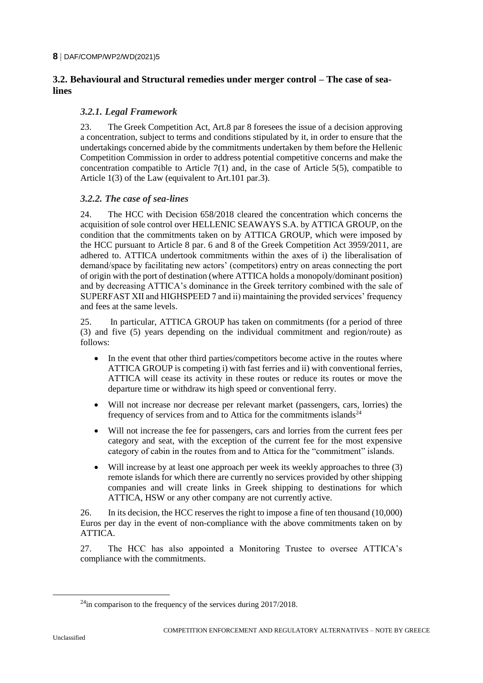# **3.2. Behavioural and Structural remedies under merger control – The case of sealines**

#### *3.2.1. Legal Framework*

23. The Greek Competition Act, Art.8 par 8 foresees the issue of a decision approving a concentration, subject to terms and conditions stipulated by it, in order to ensure that the undertakings concerned abide by the commitments undertaken by them before the Hellenic Competition Commission in order to address potential competitive concerns and make the concentration compatible to Article 7(1) and, in the case of Article 5(5), compatible to Article 1(3) of the Law (equivalent to Art.101 par.3).

### *3.2.2. The case of sea-lines*

24. The HCC with Decision 658/2018 cleared the concentration which concerns the acquisition of sole control over HELLENIC SEAWAYS S.A. by ATTICA GROUP, on the condition that the commitments taken on by ATTICA GROUP, which were imposed by the HCC pursuant to Article 8 par. 6 and 8 of the Greek Competition Act 3959/2011, are adhered to. ATTICA undertook commitments within the axes of i) the liberalisation of demand/space by facilitating new actors' (competitors) entry on areas connecting the port of origin with the port of destination (where ATTICA holds a monopoly/dominant position) and by decreasing ATTICA's dominance in the Greek territory combined with the sale of SUPERFAST XII and HIGHSPEED 7 and ii) maintaining the provided services' frequency and fees at the same levels.

25. In particular, ATTICA GROUP has taken on commitments (for a period of three (3) and five (5) years depending on the individual commitment and region/route) as follows:

- In the event that other third parties/competitors become active in the routes where ATTICA GROUP is competing i) with fast ferries and ii) with conventional ferries, ATTICA will cease its activity in these routes or reduce its routes or move the departure time or withdraw its high speed or conventional ferry.
- Will not increase nor decrease per relevant market (passengers, cars, lorries) the frequency of services from and to Attica for the commitments islands<sup>24</sup>
- Will not increase the fee for passengers, cars and lorries from the current fees per category and seat, with the exception of the current fee for the most expensive category of cabin in the routes from and to Attica for the "commitment" islands.
- Will increase by at least one approach per week its weekly approaches to three (3) remote islands for which there are currently no services provided by other shipping companies and will create links in Greek shipping to destinations for which ATTICA, HSW or any other company are not currently active.

26. In its decision, the HCC reserves the right to impose a fine of ten thousand (10,000) Euros per day in the event of non-compliance with the above commitments taken on by ATTICA.

27. The HCC has also appointed a Monitoring Trustee to oversee ATTICA's compliance with the commitments.

 $^{24}$ in comparison to the frequency of the services during 2017/2018.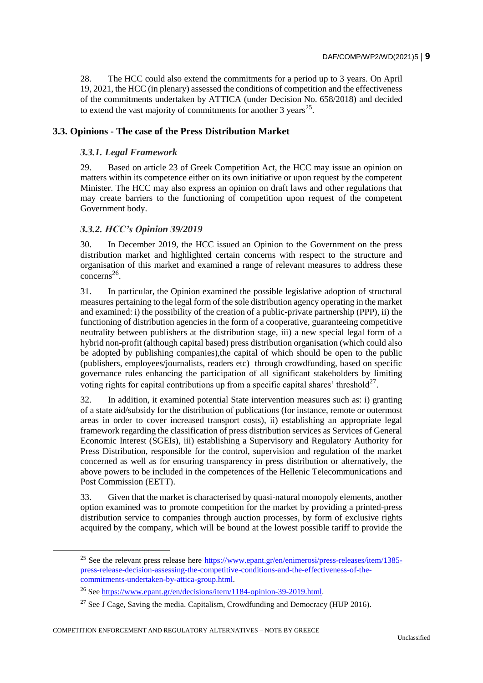28. The HCC could also extend the commitments for a period up to 3 years. Οn April 19, 2021, the HCC (in plenary) assessed the conditions of competition and the effectiveness of the commitments undertaken by ATTICA (under Decision No. 658/2018) and decided to extend the vast majority of commitments for another  $3$  years<sup>25</sup>.

# **3.3. Opinions - The case of the Press Distribution Market**

#### *3.3.1. Legal Framework*

29. Based on article 23 of Greek Competition Act, the HCC may issue an opinion on matters within its competence either on its own initiative or upon request by the competent Minister. The HCC may also express an opinion on draft laws and other regulations that may create barriers to the functioning of competition upon request of the competent Government body.

### *3.3.2. HCC's Opinion 39/2019*

30. In December 2019, the HCC issued an Opinion to the Government on the press distribution market and highlighted certain concerns with respect to the structure and organisation of this market and examined a range of relevant measures to address these  $\text{concerns}^{26}$ .

31. In particular, the Opinion examined the possible legislative adoption of structural measures pertaining to the legal form of the sole distribution agency operating in the market and examined: i) the possibility of the creation of a public-private partnership (PPP), ii) the functioning of distribution agencies in the form of a cooperative, guaranteeing competitive neutrality between publishers at the distribution stage, iii) a new special legal form of a hybrid non-profit (although capital based) press distribution organisation (which could also be adopted by publishing companies),the capital of which should be open to the public (publishers, employees/journalists, readers etc) through crowdfunding, based on specific governance rules enhancing the participation of all significant stakeholders by limiting voting rights for capital contributions up from a specific capital shares' threshold<sup>27</sup>.

32. In addition, it examined potential State intervention measures such as: i) granting of a state aid/subsidy for the distribution of publications (for instance, remote or outermost areas in order to cover increased transport costs), ii) establishing an appropriate legal framework regarding the classification of press distribution services as Services of General Economic Interest (SGEIs), iii) establishing a Supervisory and Regulatory Authority for Press Distribution, responsible for the control, supervision and regulation of the market concerned as well as for ensuring transparency in press distribution or alternatively, the above powers to be included in the competences of the Hellenic Telecommunications and Post Commission (EETT).

33. Given that the market is characterised by quasi-natural monopoly elements, another option examined was to promote competition for the market by providing a printed-press distribution service to companies through auction processes, by form of exclusive rights acquired by the company, which will be bound at the lowest possible tariff to provide the

<sup>&</sup>lt;sup>25</sup> See the relevant press release here  $\frac{https://www.epant.gr/en/en/enimerosi/press-releases/item/1385-}{https://www.epant.gr/en/enimerosi/press-releases/item/1385-}$ [press-release-decision-assessing-the-competitive-conditions-and-the-effectiveness-of-the](https://www.epant.gr/en/enimerosi/press-releases/item/1385-press-release-decision-assessing-the-competitive-conditions-and-the-effectiveness-of-the-commitments-undertaken-by-attica-group.html)[commitments-undertaken-by-attica-group.html.](https://www.epant.gr/en/enimerosi/press-releases/item/1385-press-release-decision-assessing-the-competitive-conditions-and-the-effectiveness-of-the-commitments-undertaken-by-attica-group.html)

<sup>&</sup>lt;sup>26</sup> Se[e https://www.epant.gr/en/decisions/item/1184-opinion-39-2019.html.](https://www.epant.gr/en/decisions/item/1184-opinion-39-2019.html)

<sup>&</sup>lt;sup>27</sup> See J Cage, Saving the media. Capitalism, Crowdfunding and Democracy (HUP 2016).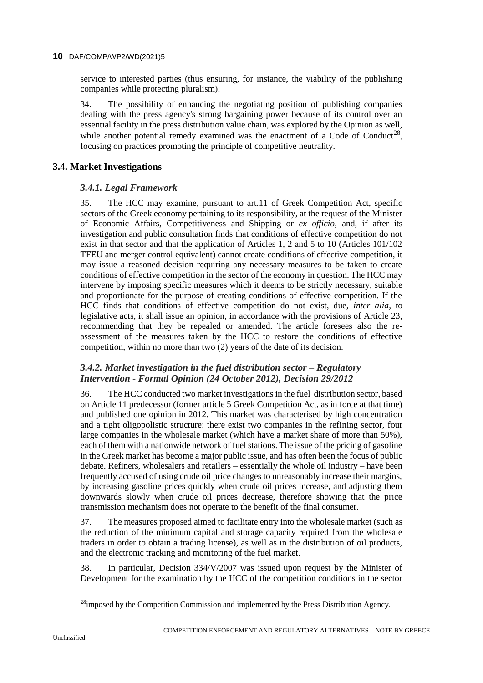service to interested parties (thus ensuring, for instance, the viability of the publishing companies while protecting pluralism).

34. The possibility of enhancing the negotiating position of publishing companies dealing with the press agency's strong bargaining power because of its control over an essential facility in the press distribution value chain, was explored by the Opinion as well, while another potential remedy examined was the enactment of a Code of Conduct<sup>28</sup>, focusing on practices promoting the principle of competitive neutrality.

# **3.4. Market Investigations**

# *3.4.1. Legal Framework*

35. The HCC may examine, pursuant to art.11 of Greek Competition Act, specific sectors of the Greek economy pertaining to its responsibility, at the request of the Minister of Economic Affairs, Competitiveness and Shipping or *ex officio*, and, if after its investigation and public consultation finds that conditions of effective competition do not exist in that sector and that the application of Articles 1, 2 and 5 to 10 (Articles 101/102 TFEU and merger control equivalent) cannot create conditions of effective competition, it may issue a reasoned decision requiring any necessary measures to be taken to create conditions of effective competition in the sector of the economy in question. The HCC may intervene by imposing specific measures which it deems to be strictly necessary, suitable and proportionate for the purpose of creating conditions of effective competition. If the HCC finds that conditions of effective competition do not exist, due, *inter alia*, to legislative acts, it shall issue an opinion, in accordance with the provisions of Article 23, recommending that they be repealed or amended. The article foresees also the reassessment of the measures taken by the HCC to restore the conditions of effective competition, within no more than two (2) years of the date of its decision.

# *3.4.2. Market investigation in the fuel distribution sector – Regulatory Intervention - Formal Opinion (24 October 2012), Decision 29/2012*

36. The HCC conducted two market investigations in the fuel distribution sector, based on Article 11 predecessor (former article 5 Greek Competition Act, as in force at that time) and published one opinion in 2012. This market was characterised by high concentration and a tight oligopolistic structure: there exist two companies in the refining sector, four large companies in the wholesale market (which have a market share of more than 50%), each of them with a nationwide network of fuel stations. The issue of the pricing of gasoline in the Greek market has become a major public issue, and has often been the focus of public debate. Refiners, wholesalers and retailers – essentially the whole oil industry – have been frequently accused of using crude oil price changes to unreasonably increase their margins, by increasing gasoline prices quickly when crude oil prices increase, and adjusting them downwards slowly when crude oil prices decrease, therefore showing that the price transmission mechanism does not operate to the benefit of the final consumer.

37. The measures proposed aimed to facilitate entry into the wholesale market (such as the reduction of the minimum capital and storage capacity required from the wholesale traders in order to obtain a trading license), as well as in the distribution of oil products, and the electronic tracking and monitoring of the fuel market.

38. In particular, Decision 334/V/2007 was issued upon request by the Minister of Development for the examination by the HCC of the competition conditions in the sector

<sup>&</sup>lt;sup>28</sup>imposed by the Competition Commission and implemented by the Press Distribution Agency.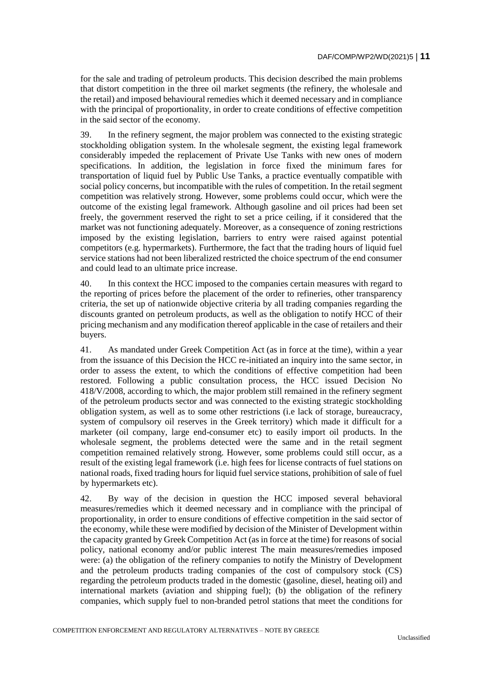for the sale and trading of petroleum products. This decision described the main problems that distort competition in the three oil market segments (the refinery, the wholesale and the retail) and imposed behavioural remedies which it deemed necessary and in compliance with the principal of proportionality, in order to create conditions of effective competition in the said sector of the economy.

39. In the refinery segment, the major problem was connected to the existing strategic stockholding obligation system. In the wholesale segment, the existing legal framework considerably impeded the replacement of Private Use Tanks with new ones of modern specifications. In addition, the legislation in force fixed the minimum fares for transportation of liquid fuel by Public Use Tanks, a practice eventually compatible with social policy concerns, but incompatible with the rules of competition. In the retail segment competition was relatively strong. However, some problems could occur, which were the outcome of the existing legal framework. Although gasoline and oil prices had been set freely, the government reserved the right to set a price ceiling, if it considered that the market was not functioning adequately. Moreover, as a consequence of zoning restrictions imposed by the existing legislation, barriers to entry were raised against potential competitors (e.g. hypermarkets). Furthermore, the fact that the trading hours of liquid fuel service stations had not been liberalized restricted the choice spectrum of the end consumer and could lead to an ultimate price increase.

40. In this context the HCC imposed to the companies certain measures with regard to the reporting of prices before the placement of the order to refineries, other transparency criteria, the set up of nationwide objective criteria by all trading companies regarding the discounts granted on petroleum products, as well as the obligation to notify HCC of their pricing mechanism and any modification thereof applicable in the case of retailers and their buyers.

41. As mandated under Greek Competition Act (as in force at the time), within a year from the issuance of this Decision the HCC re-initiated an inquiry into the same sector, in order to assess the extent, to which the conditions of effective competition had been restored. Following a public consultation process, the HCC issued Decision No 418/V/2008, according to which, the major problem still remained in the refinery segment of the petroleum products sector and was connected to the existing strategic stockholding obligation system, as well as to some other restrictions (i.e lack of storage, bureaucracy, system of compulsory oil reserves in the Greek territory) which made it difficult for a marketer (oil company, large end-consumer etc) to easily import oil products. In the wholesale segment, the problems detected were the same and in the retail segment competition remained relatively strong. However, some problems could still occur, as a result of the existing legal framework (i.e. high fees for license contracts of fuel stations on national roads, fixed trading hours for liquid fuel service stations, prohibition of sale of fuel by hypermarkets etc).

42. By way of the decision in question the HCC imposed several behavioral measures/remedies which it deemed necessary and in compliance with the principal of proportionality, in order to ensure conditions of effective competition in the said sector of the economy, while these were modified by decision of the Minister of Development within the capacity granted by Greek Competition Act (as in force at the time) for reasons of social policy, national economy and/or public interest The main measures/remedies imposed were: (a) the obligation of the refinery companies to notify the Ministry of Development and the petroleum products trading companies of the cost of compulsory stock (CS) regarding the petroleum products traded in the domestic (gasoline, diesel, heating oil) and international markets (aviation and shipping fuel); (b) the obligation of the refinery companies, which supply fuel to non-branded petrol stations that meet the conditions for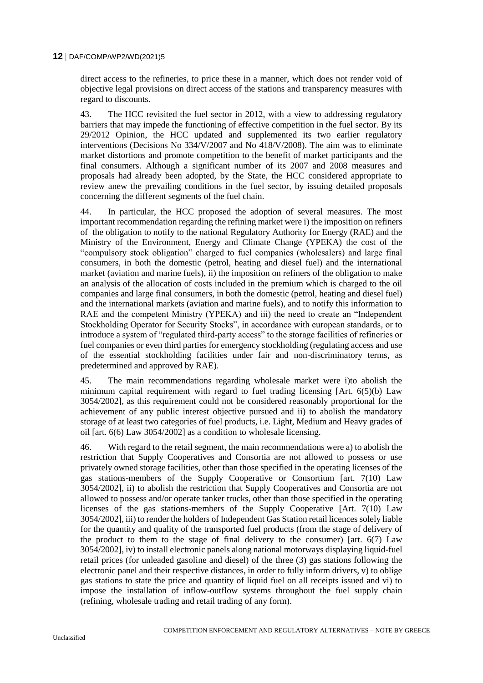direct access to the refineries, to price these in a manner, which does not render void of objective legal provisions on direct access of the stations and transparency measures with regard to discounts.

43. The HCC revisited the fuel sector in 2012, with a view to addressing regulatory barriers that may impede the functioning of effective competition in the fuel sector. By its 29/2012 Opinion, the HCC updated and supplemented its two earlier regulatory interventions (Decisions No 334/V/2007 and No 418/V/2008). The aim was to eliminate market distortions and promote competition to the benefit of market participants and the final consumers. Although a significant number of its 2007 and 2008 measures and proposals had already been adopted, by the State, the HCC considered appropriate to review anew the prevailing conditions in the fuel sector, by issuing detailed proposals concerning the different segments of the fuel chain.

44. In particular, the HCC proposed the adoption of several measures. The most important recommendation regarding the refining market were i) the imposition on refiners of the obligation to notify to the national Regulatory Authority for Energy (RAE) and the Ministry of the Environment, Energy and Climate Change (YPEKA) the cost of the "compulsory stock obligation" charged to fuel companies (wholesalers) and large final consumers, in both the domestic (petrol, heating and diesel fuel) and the international market (aviation and marine fuels), ii) the imposition on refiners of the obligation to make an analysis of the allocation of costs included in the premium which is charged to the oil companies and large final consumers, in both the domestic (petrol, heating and diesel fuel) and the international markets (aviation and marine fuels), and to notify this information to RAE and the competent Ministry (YPEKA) and iii) the need to create an "Independent" Stockholding Operator for Security Stocks", in accordance with european standards, or to introduce a system of "regulated third-party access" to the storage facilities of refineries or fuel companies or even third parties for emergency stockholding (regulating access and use of the essential stockholding facilities under fair and non-discriminatory terms, as predetermined and approved by RAE).

45. The main recommendations regarding wholesale market were i)to abolish the minimum capital requirement with regard to fuel trading licensing [Art. 6(5)(b) Law 3054/2002], as this requirement could not be considered reasonably proportional for the achievement of any public interest objective pursued and ii) to abolish the mandatory storage of at least two categories of fuel products, i.e. Light, Medium and Heavy grades of oil [art. 6(6) Law 3054/2002] as a condition to wholesale licensing.

46. With regard to the retail segment, the main recommendations were a) to abolish the restriction that Supply Cooperatives and Consortia are not allowed to possess or use privately owned storage facilities, other than those specified in the operating licenses of the gas stations-members of the Supply Cooperative or Consortium [art. 7(10) Law 3054/2002], ii) to abolish the restriction that Supply Cooperatives and Consortia are not allowed to possess and/or operate tanker trucks, other than those specified in the operating licenses of the gas stations-members of the Supply Cooperative [Art. 7(10) Law 3054/2002], iii) to render the holders of Independent Gas Station retail licences solely liable for the quantity and quality of the transported fuel products (from the stage of delivery of the product to them to the stage of final delivery to the consumer) [art.  $6(7)$  Law 3054/2002], iv) to install electronic panels along national motorways displaying liquid-fuel retail prices (for unleaded gasoline and diesel) of the three (3) gas stations following the electronic panel and their respective distances, in order to fully inform drivers, v) to oblige gas stations to state the price and quantity of liquid fuel on all receipts issued and vi) to impose the installation of inflow-outflow systems throughout the fuel supply chain (refining, wholesale trading and retail trading of any form).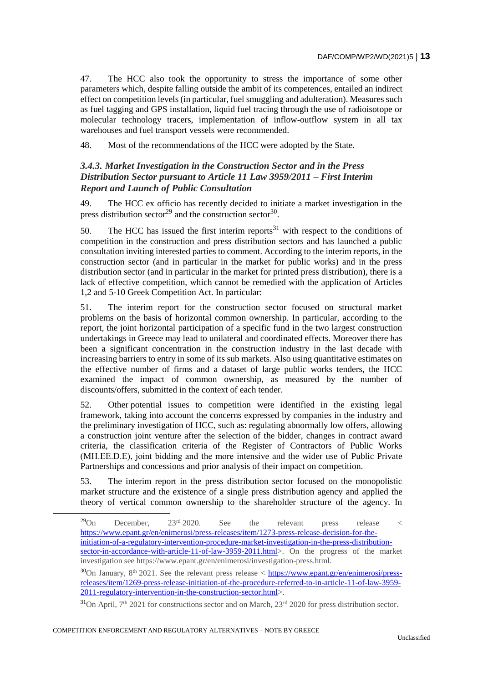47. The HCC also took the opportunity to stress the importance of some other parameters which, despite falling outside the ambit of its competences, entailed an indirect effect on competition levels (in particular, fuel smuggling and adulteration). Measures such as fuel tagging and GPS installation, liquid fuel tracing through the use of radioisotope or molecular technology tracers, implementation of inflow-outflow system in all tax warehouses and fuel transport vessels were recommended.

48. Most of the recommendations of the HCC were adopted by the State.

# *3.4.3. Market Investigation in the Construction Sector and in the Press Distribution Sector pursuant to Article 11 Law 3959/2011 – First Interim Report and Launch of Public Consultation*

49. The HCC ex officio has recently decided to initiate a market investigation in the press distribution sector<sup>29</sup> and the construction sector<sup>30</sup>.

50. The HCC has issued the first interim reports $31$  with respect to the conditions of competition in the construction and press distribution sectors and has launched a public consultation inviting interested parties to comment. According to the interim reports, in the construction sector (and in particular in the market for public works) and in the press distribution sector (and in particular in the market for printed press distribution), there is a lack of effective competition, which cannot be remedied with the application of Articles 1,2 and 5-10 Greek Competition Act. In particular:

51. The interim report for the construction sector focused on structural market problems on the basis of horizontal common ownership. In particular, according to the report, the joint horizontal participation of a specific fund in the two largest construction undertakings in Greece may lead to unilateral and coordinated effects. Moreover there has been a significant concentration in the construction industry in the last decade with increasing barriers to entry in some of its sub markets. Also using quantitative estimates on the effective number of firms and a dataset of large public works tenders, the HCC examined the impact of common ownership, as measured by the number of discounts/offers, submitted in the context of each tender.

52. Other potential issues to competition were identified in the existing legal framework, taking into account the concerns expressed by companies in the industry and the preliminary investigation of HCC, such as: regulating abnormally low offers, allowing a construction joint venture after the selection of the bidder, changes in contract award criteria, the classification criteria of the Register of Contractors of Public Works (ΜΗ.ΕΕ.D.Ε), joint bidding and the more intensive and the wider use of Public Private Partnerships and concessions and prior analysis of their impact on competition.

53. The interim report in the press distribution sector focused on the monopolistic market structure and the existence of a single press distribution agency and applied the theory of vertical common ownership to the shareholder structure of the agency. In

 $^{29}$ On December,  $23^{\text{rd}}$  2020. See the relevant press release < [https://www.epant.gr/en/enimerosi/press-releases/item/1273-press-release-decision-for-the](https://www.epant.gr/en/enimerosi/press-releases/item/1273-press-release-decision-for-the-initiation-of-a-regulatory-intervention-procedure-market-investigation-in-the-press-distribution-sector-in-accordance-with-article-11-of-law-3959-2011.html)[initiation-of-a-regulatory-intervention-procedure-market-investigation-in-the-press-distribution](https://www.epant.gr/en/enimerosi/press-releases/item/1273-press-release-decision-for-the-initiation-of-a-regulatory-intervention-procedure-market-investigation-in-the-press-distribution-sector-in-accordance-with-article-11-of-law-3959-2011.html)[sector-in-accordance-with-article-11-of-law-3959-2011.html>](https://www.epant.gr/en/enimerosi/press-releases/item/1273-press-release-decision-for-the-initiation-of-a-regulatory-intervention-procedure-market-investigation-in-the-press-distribution-sector-in-accordance-with-article-11-of-law-3959-2011.html). On the progress of the market investigation see https://www.epant.gr/en/enimerosi/investigation-press.html.

<sup>&</sup>lt;sup>30</sup>On January, 8<sup>th</sup> 2021. See the relevant press release < [https://www.epant.gr/en/enimerosi/press](https://www.epant.gr/en/enimerosi/press-releases/item/1269-press-release-initiation-of-the-procedure-referred-to-in-article-11-of-law-3959-2011-regulatory-intervention-in-the-construction-sector.html)[releases/item/1269-press-release-initiation-of-the-procedure-referred-to-in-article-11-of-law-3959-](https://www.epant.gr/en/enimerosi/press-releases/item/1269-press-release-initiation-of-the-procedure-referred-to-in-article-11-of-law-3959-2011-regulatory-intervention-in-the-construction-sector.html) [2011-regulatory-intervention-in-the-construction-sector.html>](https://www.epant.gr/en/enimerosi/press-releases/item/1269-press-release-initiation-of-the-procedure-referred-to-in-article-11-of-law-3959-2011-regulatory-intervention-in-the-construction-sector.html).

 $31$ On April,  $7<sup>th</sup>$  2021 for constructions sector and on March, 23<sup>rd</sup> 2020 for press distribution sector.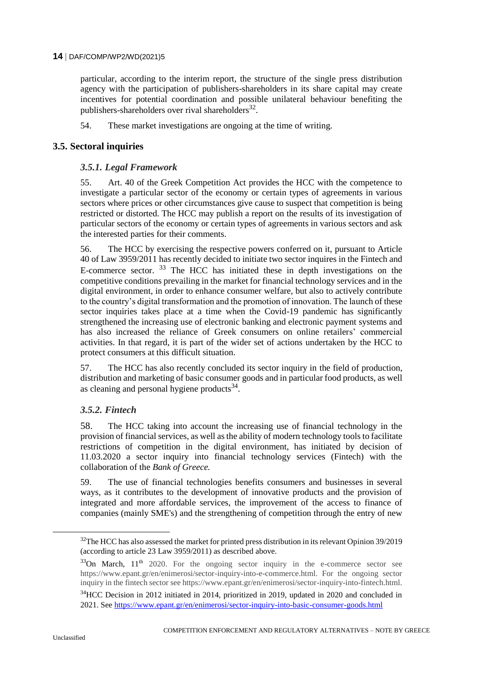particular, according to the interim report, the structure of the single press distribution agency with the participation of publishers-shareholders in its share capital may create incentives for potential coordination and possible unilateral behaviour benefiting the publishers-shareholders over rival shareholders $^{32}$ .

54. These market investigations are ongoing at the time of writing.

# **3.5. Sectoral inquiries**

# *3.5.1. Legal Framework*

55. Art. 40 of the Greek Competition Act provides the HCC with the competence to investigate a particular sector of the economy or certain types of agreements in various sectors where prices or other circumstances give cause to suspect that competition is being restricted or distorted. The HCC may publish a report on the results of its investigation of particular sectors of the economy or certain types of agreements in various sectors and ask the interested parties for their comments.

56. The HCC by exercising the respective powers conferred on it, pursuant to Article 40 of Law 3959/2011 has recently decided to initiate two sector inquires in the Fintech and E-commerce sector.  $33$  The HCC has initiated these in depth investigations on the competitive conditions prevailing in the market for financial technology services and in the digital environment, in order to enhance consumer welfare, but also to actively contribute to the country's digital transformation and the promotion of innovation. The launch of these sector inquiries takes place at a time when the Covid-19 pandemic has significantly strengthened the increasing use of electronic banking and electronic payment systems and has also increased the reliance of Greek consumers on online retailers' commercial activities. In that regard, it is part of the wider set of actions undertaken by the HCC to protect consumers at this difficult situation.

57. The HCC has also recently concluded its sector inquiry in the field of production, distribution and marketing of basic consumer goods and in particular food products, as well as cleaning and personal hygiene products $^{34}$ .

# *3.5.2. Fintech*

58. The HCC taking into account the increasing use of financial technology in the provision of financial services, as well as the ability of modern technology tools to facilitate restrictions of competition in the digital environment, has initiated by decision of 11.03.2020 a sector inquiry into financial technology services (Fintech) with the collaboration of the *Bank of Greece.*

59. The use of financial technologies benefits consumers and businesses in several ways, as it contributes to the development of innovative products and the provision of integrated and more affordable services, the improvement of the access to finance of companies (mainly SME's) and the strengthening of competition through the entry of new

<sup>&</sup>lt;sup>32</sup>The HCC has also assessed the market for printed press distribution in its relevant Opinion 39/2019 (according to article 23 Law 3959/2011) as described above.

 $33$ On March,  $11<sup>th</sup>$  2020. For the ongoing sector inquiry in the e-commerce sector see https://www.epant.gr/en/enimerosi/sector-inquiry-into-e-commerce.html. For the ongoing sector inquiry in the fintech sector see https://www.epant.gr/en/enimerosi/sector-inquiry-into-fintech.html.

<sup>&</sup>lt;sup>34</sup>HCC Decision in 2012 initiated in 2014, prioritized in 2019, updated in 2020 and concluded in 2021. See<https://www.epant.gr/en/enimerosi/sector-inquiry-into-basic-consumer-goods.html>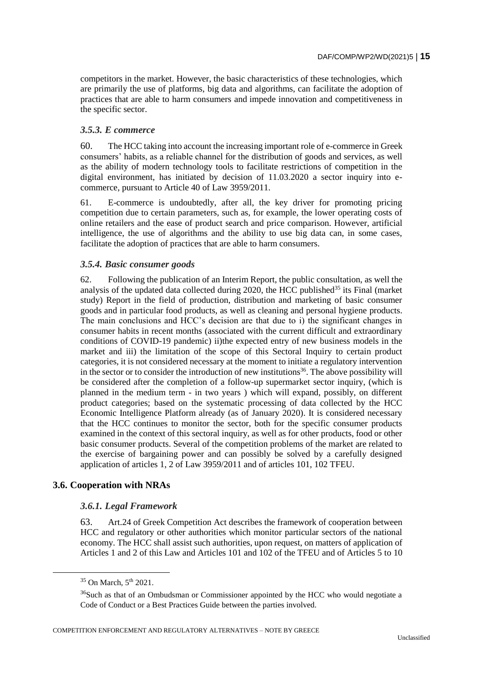competitors in the market. However, the basic characteristics of these technologies, which are primarily the use of platforms, big data and algorithms, can facilitate the adoption of practices that are able to harm consumers and impede innovation and competitiveness in the specific sector.

# *3.5.3. E commerce*

60. The HCC taking into account the increasing important role of e-commerce in Greek consumers' habits, as a reliable channel for the distribution of goods and services, as well as the ability of modern technology tools to facilitate restrictions of competition in the digital environment, has initiated by decision of 11.03.2020 a sector inquiry into ecommerce, pursuant to Article 40 of Law 3959/2011.

61. E-commerce is undoubtedly, after all, the key driver for promoting pricing competition due to certain parameters, such as, for example, the lower operating costs of online retailers and the ease of product search and price comparison. However, artificial intelligence, the use of algorithms and the ability to use big data can, in some cases, facilitate the adoption of practices that are able to harm consumers.

### *3.5.4. Basic consumer goods*

62. Following the publication of an Interim Report, the public consultation, as well the analysis of the updated data collected during 2020, the HCC published<sup>35</sup> its Final (market study) Report in the field of production, distribution and marketing of basic consumer goods and in particular food products, as well as cleaning and personal hygiene products. The main conclusions and HCC's decision are that due to i) the significant changes in consumer habits in recent months (associated with the current difficult and extraordinary conditions of COVID-19 pandemic) ii)the expected entry of new business models in the market and iii) the limitation of the scope of this Sectoral Inquiry to certain product categories, it is not considered necessary at the moment to initiate a regulatory intervention in the sector or to consider the introduction of new institutions<sup>36</sup>. The above possibility will be considered after the completion of a follow-up supermarket sector inquiry, (which is planned in the medium term - in two years ) which will expand, possibly, on different product categories; based on the systematic processing of data collected by the HCC Economic Intelligence Platform already (as of January 2020). It is considered necessary that the HCC continues to monitor the sector, both for the specific consumer products examined in the context of this sectoral inquiry, as well as for other products, food or other basic consumer products. Several of the competition problems of the market are related to the exercise of bargaining power and can possibly be solved by a carefully designed application of articles 1, 2 of Law 3959/2011 and of articles 101, 102 TFEU.

#### **3.6. Cooperation with NRAs**

#### *3.6.1. Legal Framework*

63. Art.24 of Greek Competition Act describes the framework of cooperation between HCC and regulatory or other authorities which monitor particular sectors of the national economy. The HCC shall assist such authorities, upon request, on matters of application of Articles 1 and 2 of this Law and Articles 101 and 102 of the TFEU and of Articles 5 to 10

 $\overline{a}$ 

COMPETITION ENFORCEMENT AND REGULATORY ALTERNATIVES – NOTE BY GREECE

 $35$  On March,  $5<sup>th</sup>$  2021.

 $36$ Such as that of an Ombudsman or Commissioner appointed by the HCC who would negotiate a Code of Conduct or a Best Practices Guide between the parties involved.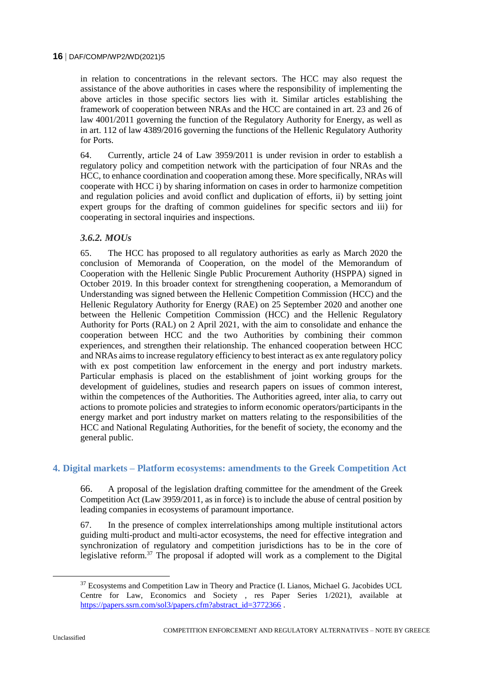in relation to concentrations in the relevant sectors. The HCC may also request the assistance of the above authorities in cases where the responsibility of implementing the above articles in those specific sectors lies with it. Similar articles establishing the framework of cooperation between NRAs and the HCC are contained in art. 23 and 26 of law 4001/2011 governing the function of the Regulatory Authority for Energy, as well as in art. 112 of law 4389/2016 governing the functions of the Hellenic Regulatory Authority for Ports.

64. Currently, article 24 of Law 3959/2011 is under revision in order to establish a regulatory policy and competition network with the participation of four NRAs and the HCC, to enhance coordination and cooperation among these. More specifically, NRAs will cooperate with HCC i) by sharing information on cases in order to harmonize competition and regulation policies and avoid conflict and duplication of efforts, ii) by setting joint expert groups for the drafting of common guidelines for specific sectors and iii) for cooperating in sectoral inquiries and inspections.

# *3.6.2. MOUs*

65. The HCC has proposed to all regulatory authorities as early as March 2020 the conclusion of Memoranda of Cooperation, on the model of the Memorandum of Cooperation with the Hellenic Single Public Procurement Authority (HSPPA) signed in October 2019. In this broader context for strengthening cooperation, a Memorandum of Understanding was signed between the Hellenic Competition Commission (HCC) and the Hellenic Regulatory Authority for Energy (RAE) on 25 September 2020 and another one between the Hellenic Competition Commission (HCC) and the Hellenic Regulatory Authority for Ports (RAL) on 2 April 2021, with the aim to consolidate and enhance the cooperation between HCC and the two Authorities by combining their common experiences, and strengthen their relationship. The enhanced cooperation between HCC and NRAs aims to increase regulatory efficiency to best interact as ex ante regulatory policy with ex post competition law enforcement in the energy and port industry markets. Particular emphasis is placed on the establishment of joint working groups for the development of guidelines, studies and research papers on issues of common interest, within the competences of the Authorities. The Authorities agreed, inter alia, to carry out actions to promote policies and strategies to inform economic operators/participants in the energy market and port industry market on matters relating to the responsibilities of the HCC and National Regulating Authorities, for the benefit of society, the economy and the general public.

# **4. Digital markets – Platform ecosystems: amendments to the Greek Competition Act**

66. A proposal of the legislation drafting committee for the amendment of the Greek Competition Act (Law 3959/2011, as in force) is to include the abuse of central position by leading companies in ecosystems of paramount importance.

67. In the presence of complex interrelationships among multiple institutional actors guiding multi-product and multi-actor ecosystems, the need for effective integration and synchronization of regulatory and competition jurisdictions has to be in the core of legislative reform.<sup>37</sup> The proposal if adopted will work as a complement to the Digital

<sup>&</sup>lt;sup>37</sup> Ecosystems and Competition Law in Theory and Practice (I. Lianos, Michael G. Jacobides UCL Centre for Law, Economics and Society , res Paper Series 1/2021), available at [https://papers.ssrn.com/sol3/papers.cfm?abstract\\_id=3772366](https://papers.ssrn.com/sol3/papers.cfm?abstract_id=3772366).